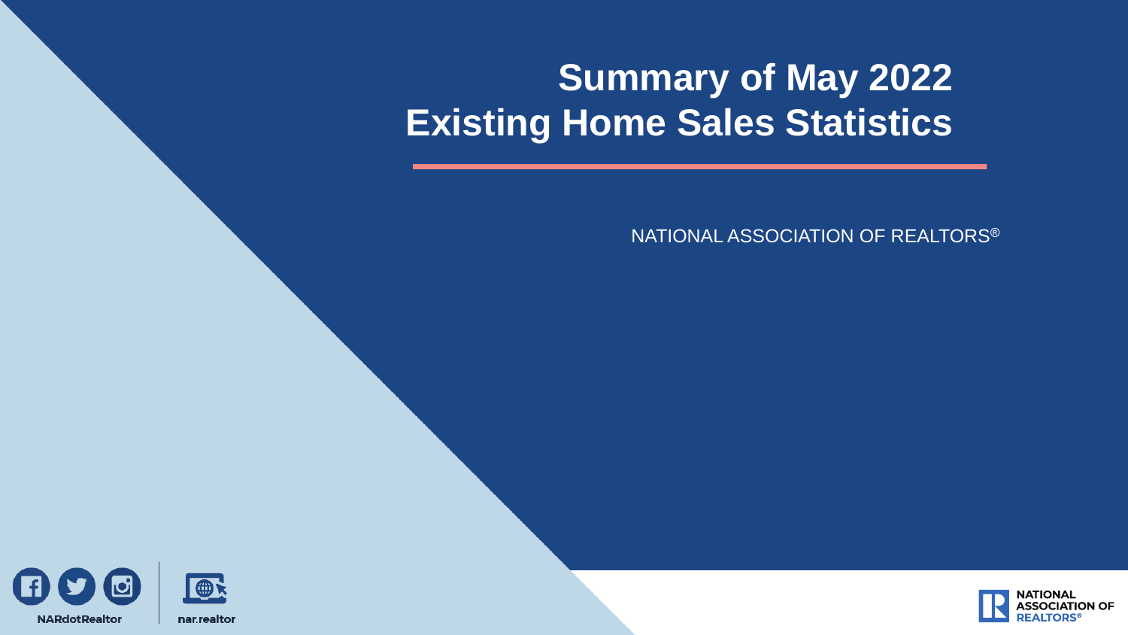# **Summary of May 2022 Existing Home Sales Statistics**

NATIONAL ASSOCIATION OF REALTORS®



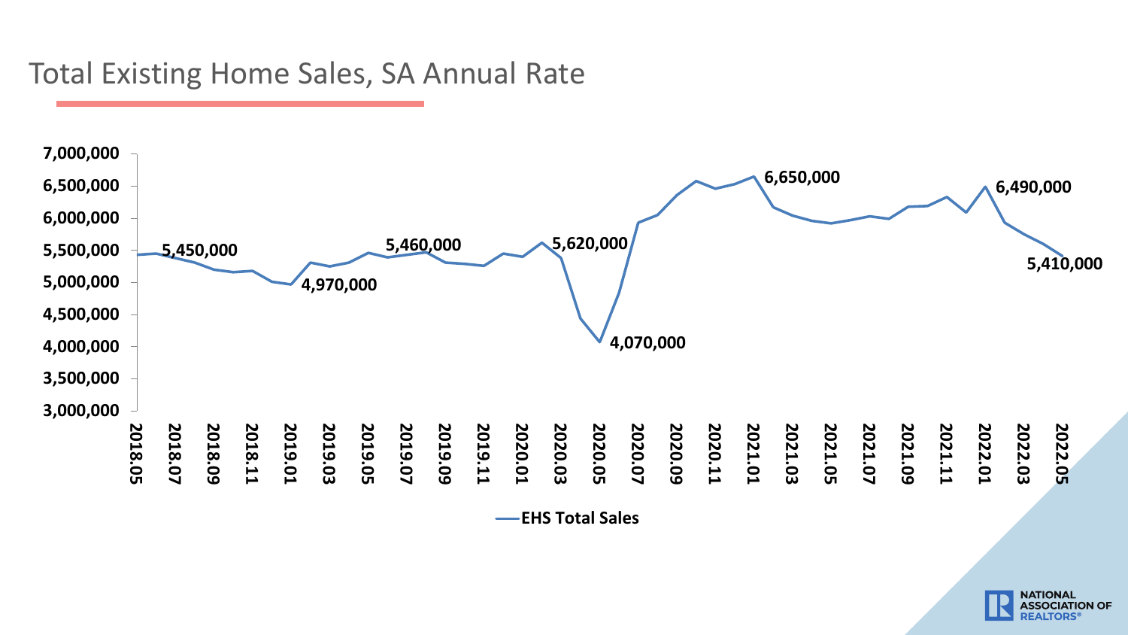#### Total Existing Home Sales, SA Annual Rate



**EHS Total Sales**

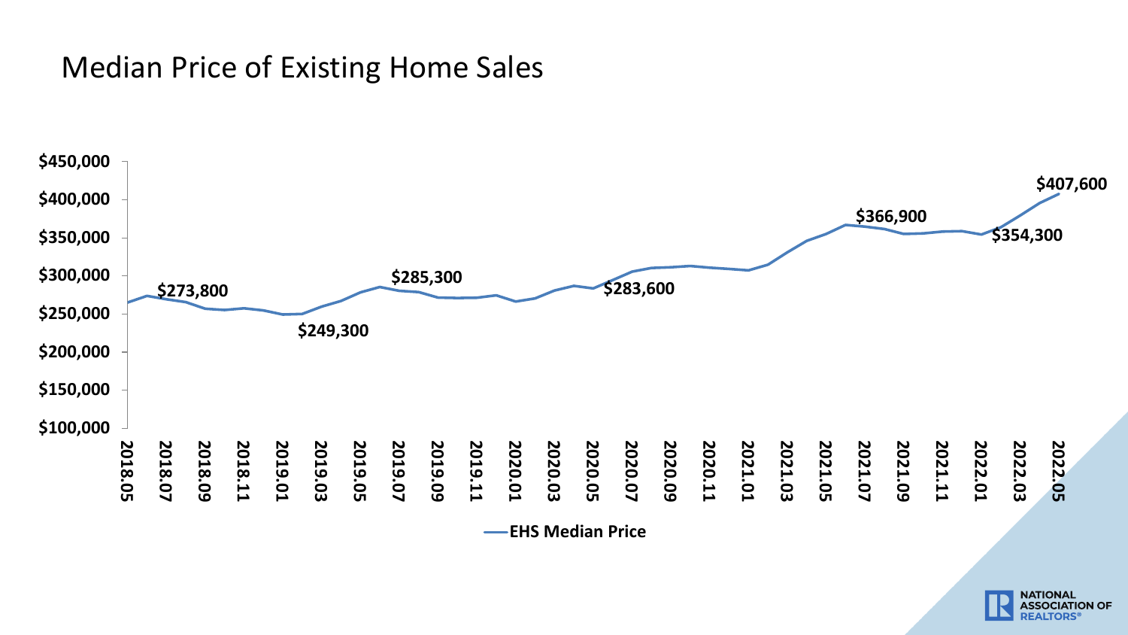### Median Price of Existing Home Sales



**EHS Median Price**

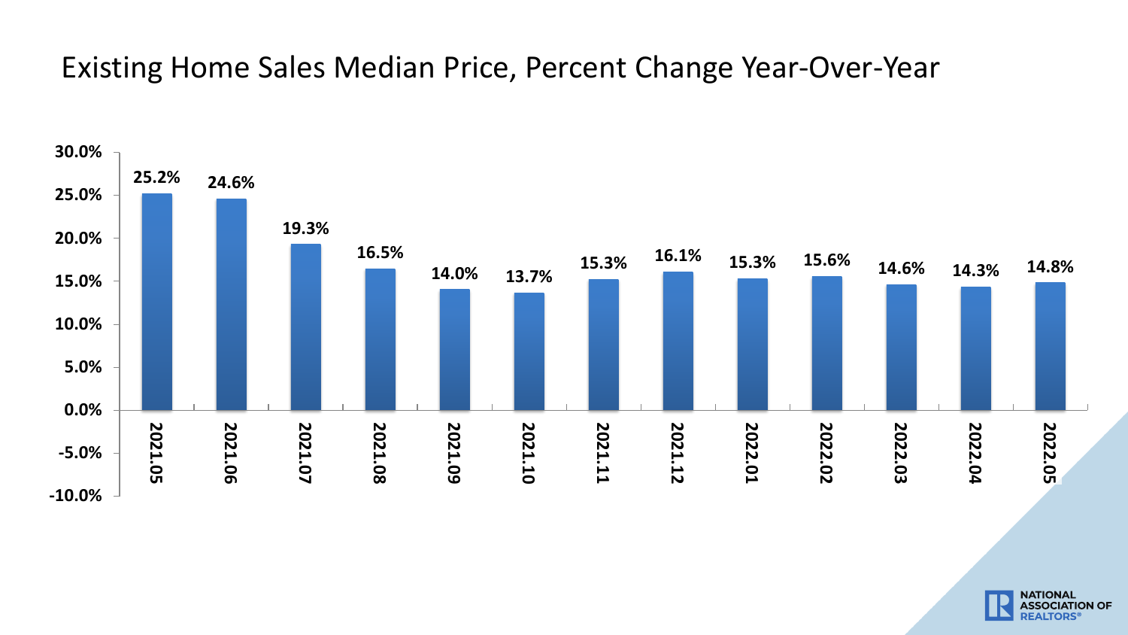#### Existing Home Sales Median Price, Percent Change Year-Over-Year



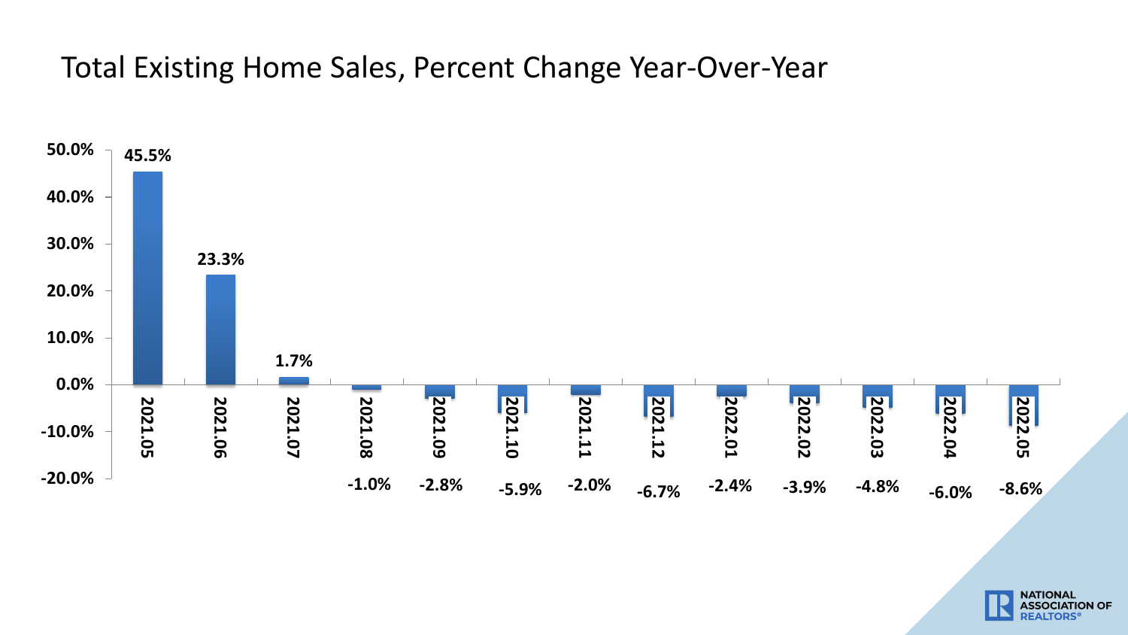Total Existing Home Sales, Percent Change Year-Over-Year



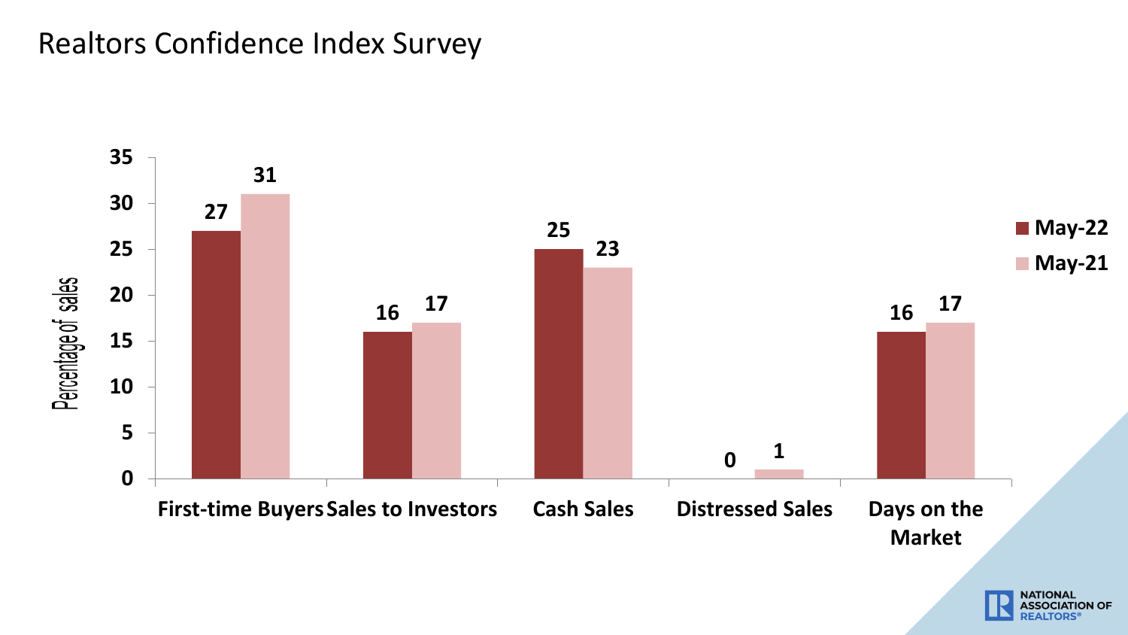#### Realtors Confidence Index Survey



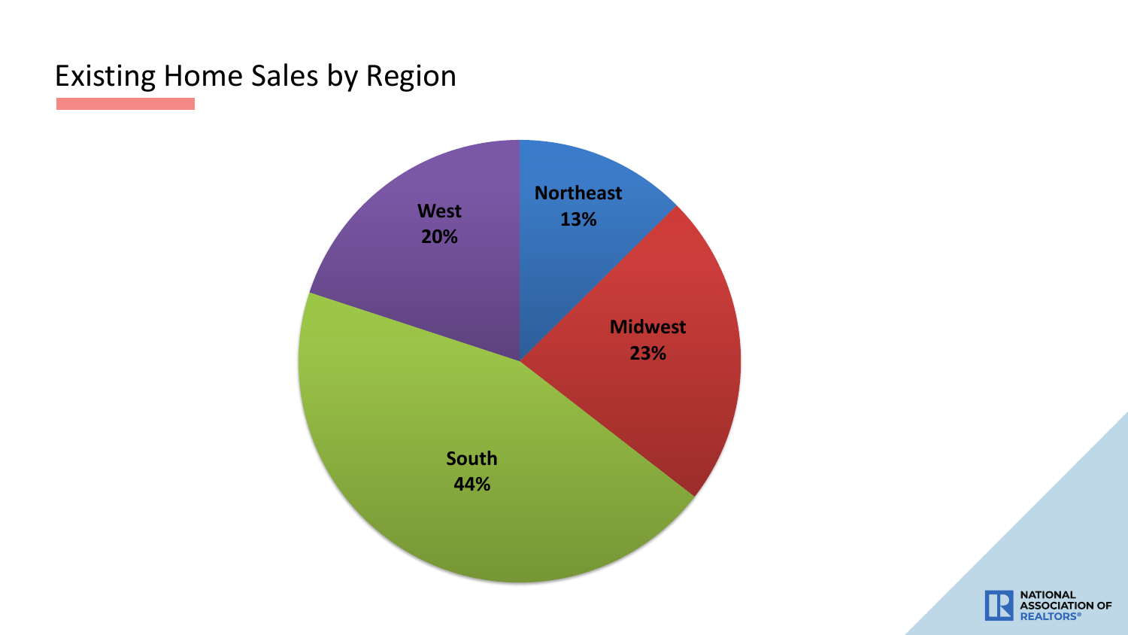## Existing Home Sales by Region



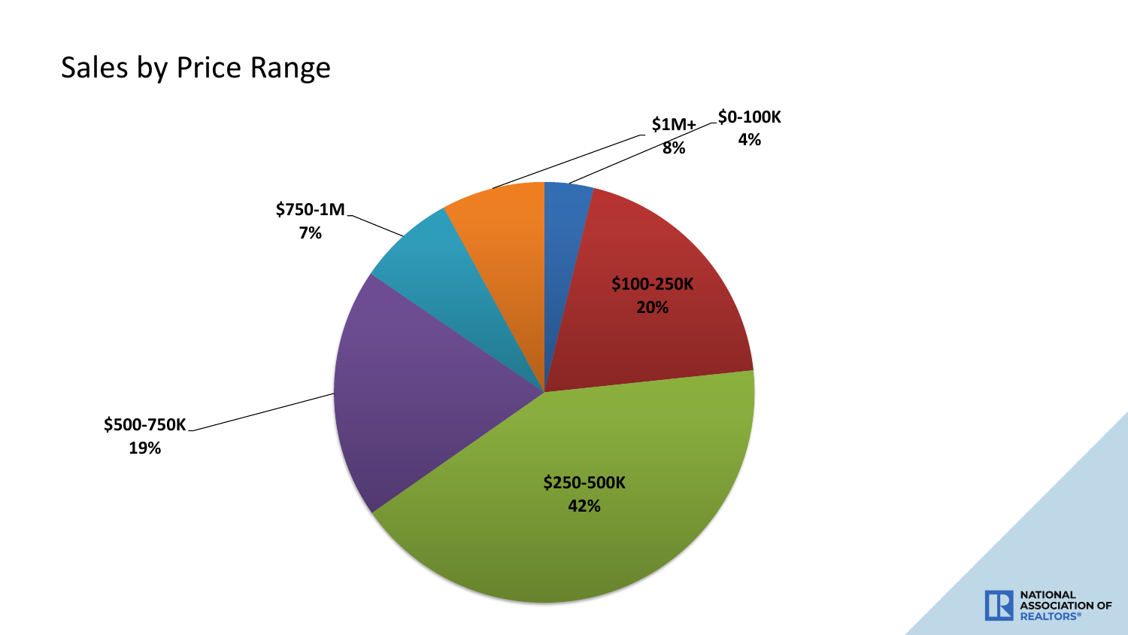### Sales by Price Range